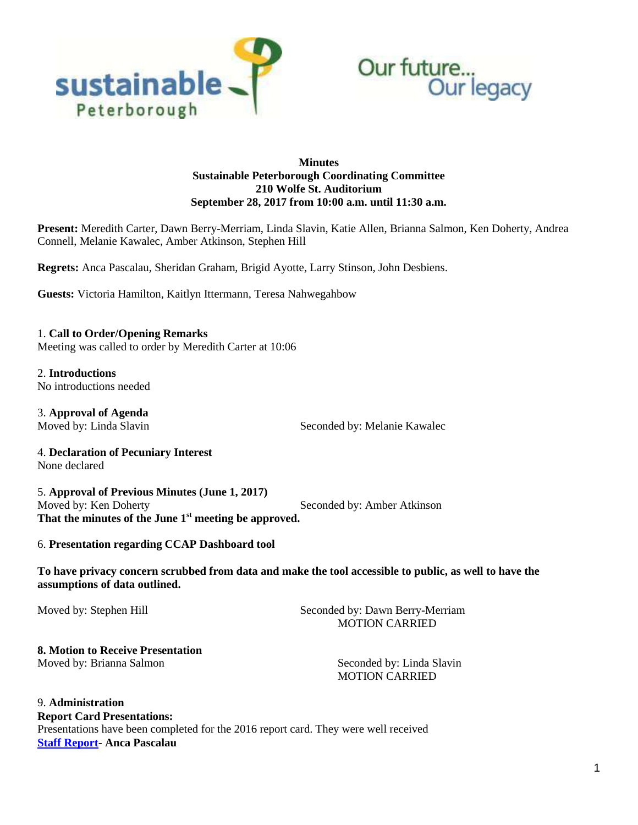



## **Minutes Sustainable Peterborough Coordinating Committee 210 Wolfe St. Auditorium September 28, 2017 from 10:00 a.m. until 11:30 a.m.**

**Present:** Meredith Carter, Dawn Berry-Merriam, Linda Slavin, Katie Allen, Brianna Salmon, Ken Doherty, Andrea Connell, Melanie Kawalec, Amber Atkinson, Stephen Hill

**Regrets:** Anca Pascalau, Sheridan Graham, Brigid Ayotte, Larry Stinson, John Desbiens.

**Guests:** Victoria Hamilton, Kaitlyn Ittermann, Teresa Nahwegahbow

1. **Call to Order/Opening Remarks** Meeting was called to order by Meredith Carter at 10:06

2. **Introductions** No introductions needed

3. **Approval of Agenda**

Moved by: Linda Slavin Seconded by: Melanie Kawalec

4. **Declaration of Pecuniary Interest** None declared

5. **Approval of Previous Minutes (June 1, 2017)** Moved by: Ken Doherty **Seconded by: Amber Atkinson That the minutes of the June 1st meeting be approved.**

## 6. **Presentation regarding CCAP Dashboard tool**

**To have privacy concern scrubbed from data and make the tool accessible to public, as well to have the assumptions of data outlined.** 

Moved by: Stephen Hill Seconded by: Dawn Berry-Merriam MOTION CARRIED

# **8. Motion to Receive Presentation**

Moved by: Brianna Salmon Seconded by: Linda Slavin MOTION CARRIED

9. **Administration Report Card Presentations:**  Presentations have been completed for the 2016 report card. They were well received **[Staff Report-](https://sustainablepeterborough.ca/wp-content/uploads/2017/03/Staff-Report-Sept-28-Anca.pdf) Anca Pascalau**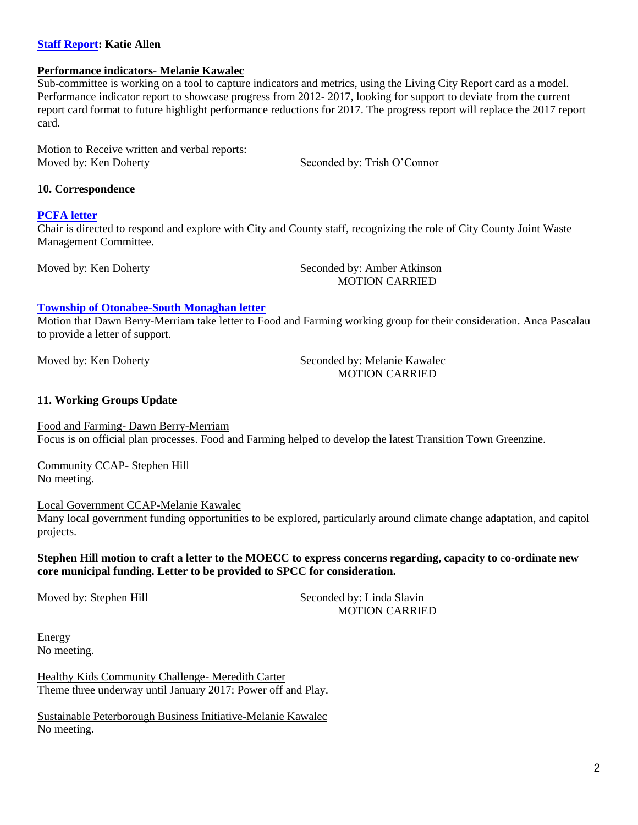## **[Staff Report:](https://sustainablepeterborough.ca/wp-content/uploads/2017/03/Partnership-Development-update-Sept-2017.pdf) Katie Allen**

#### **Performance indicators- Melanie Kawalec**

Sub-committee is working on a tool to capture indicators and metrics, using the Living City Report card as a model. Performance indicator report to showcase progress from 2012- 2017, looking for support to deviate from the current report card format to future highlight performance reductions for 2017. The progress report will replace the 2017 report card.

Motion to Receive written and verbal reports: Moved by: Ken Doherty Seconded by: Trish O'Connor

#### **10. Correspondence**

#### **[PCFA](https://sustainablepeterborough.ca/wp-content/uploads/2017/03/PCFA-letter.pdf) letter**

Chair is directed to respond and explore with City and County staff, recognizing the role of City County Joint Waste Management Committee.

Moved by: Ken Doherty Seconded by: Amber Atkinson MOTION CARRIED

#### **[Township of Otonabee-South Monaghan letter](https://sustainablepeterborough.ca/wp-content/uploads/2017/03/Request-for-Letter-of-Support-Sustainable-Peterborough.pdf)**

Motion that Dawn Berry-Merriam take letter to Food and Farming working group for their consideration. Anca Pascalau to provide a letter of support.

Moved by: Ken Doherty Seconded by: Melanie Kawalec MOTION CARRIED

#### **11. Working Groups Update**

Food and Farming- Dawn Berry-Merriam Focus is on official plan processes. Food and Farming helped to develop the latest Transition Town Greenzine.

Community CCAP- Stephen Hill No meeting.

Local Government CCAP-Melanie Kawalec

Many local government funding opportunities to be explored, particularly around climate change adaptation, and capitol projects.

### **Stephen Hill motion to craft a letter to the MOECC to express concerns regarding, capacity to co-ordinate new core municipal funding. Letter to be provided to SPCC for consideration.**

Moved by: Stephen Hill Seconded by: Linda Slavin MOTION CARRIED

Energy No meeting.

Healthy Kids Community Challenge- Meredith Carter Theme three underway until January 2017: Power off and Play.

Sustainable Peterborough Business Initiative-Melanie Kawalec No meeting.